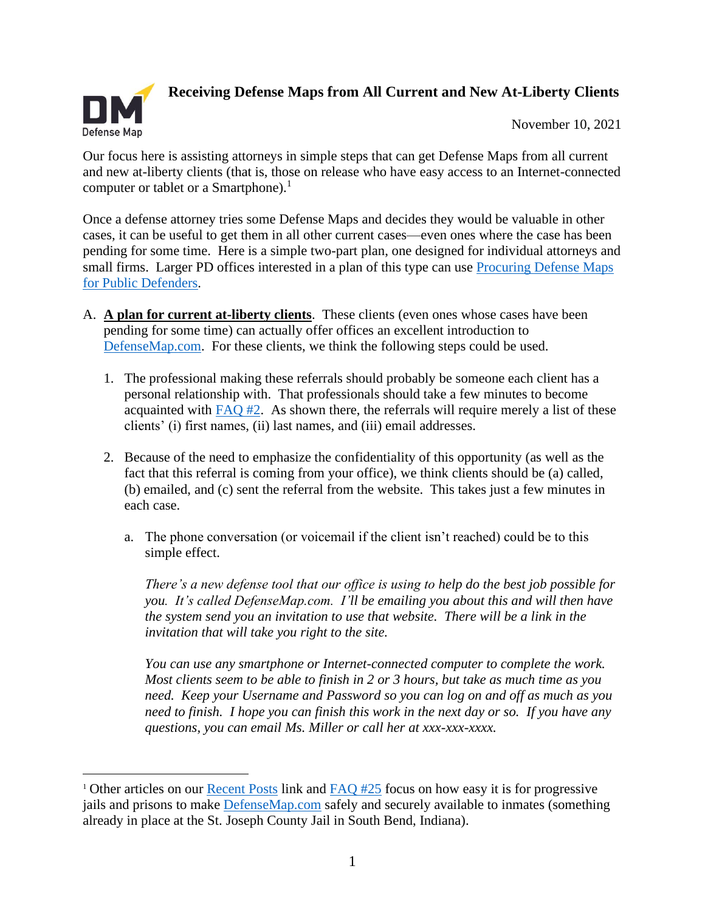

**Receiving Defense Maps from All Current and New At-Liberty Clients** 

November 10, 2021

Our focus here is assisting attorneys in simple steps that can get Defense Maps from all current and new at-liberty clients (that is, those on release who have easy access to an Internet-connected computer or tablet or a Smartphone). $<sup>1</sup>$ </sup>

Once a defense attorney tries some Defense Maps and decides they would be valuable in other cases, it can be useful to get them in all other current cases—even ones where the case has been pending for some time. Here is a simple two-part plan, one designed for individual attorneys and small firms. Larger PD offices interested in a plan of this type can use **Procuring Defense Maps** [for Public Defenders.](https://defensemap.com/DM_Files/English/DM_Procuring_Defense_Maps_for_Public_Defenders)

- A. **A plan for current at-liberty clients**. These clients (even ones whose cases have been pending for some time) can actually offer offices an excellent introduction to [DefenseMap.com.](http://www.defensemap.com/) For these clients, we think the following steps could be used.
	- 1. The professional making these referrals should probably be someone each client has a personal relationship with. That professionals should take a few minutes to become acquainted with [FAQ #2.](https://defensemap.com/faqs) As shown there, the referrals will require merely a list of these clients' (i) first names, (ii) last names, and (iii) email addresses.
	- 2. Because of the need to emphasize the confidentiality of this opportunity (as well as the fact that this referral is coming from your office), we think clients should be (a) called, (b) emailed, and (c) sent the referral from the website. This takes just a few minutes in each case.
		- a. The phone conversation (or voicemail if the client isn't reached) could be to this simple effect.

*There's a new defense tool that our office is using to help do the best job possible for you. It's called DefenseMap.com. I'll be emailing you about this and will then have the system send you an invitation to use that website. There will be a link in the invitation that will take you right to the site.* 

*You can use any smartphone or Internet-connected computer to complete the work. Most clients seem to be able to finish in 2 or 3 hours, but take as much time as you need. Keep your Username and Password so you can log on and off as much as you need to finish. I hope you can finish this work in the next day or so. If you have any questions, you can email Ms. Miller or call her at xxx-xxx-xxxx.* 

<sup>&</sup>lt;sup>1</sup> Other articles on our **Recent Posts** link and  $FAQ$  #25 focus on how easy it is for progressive jails and prisons to make [DefenseMap.com](http://www.defensemap.com/) safely and securely available to inmates (something already in place at the St. Joseph County Jail in South Bend, Indiana).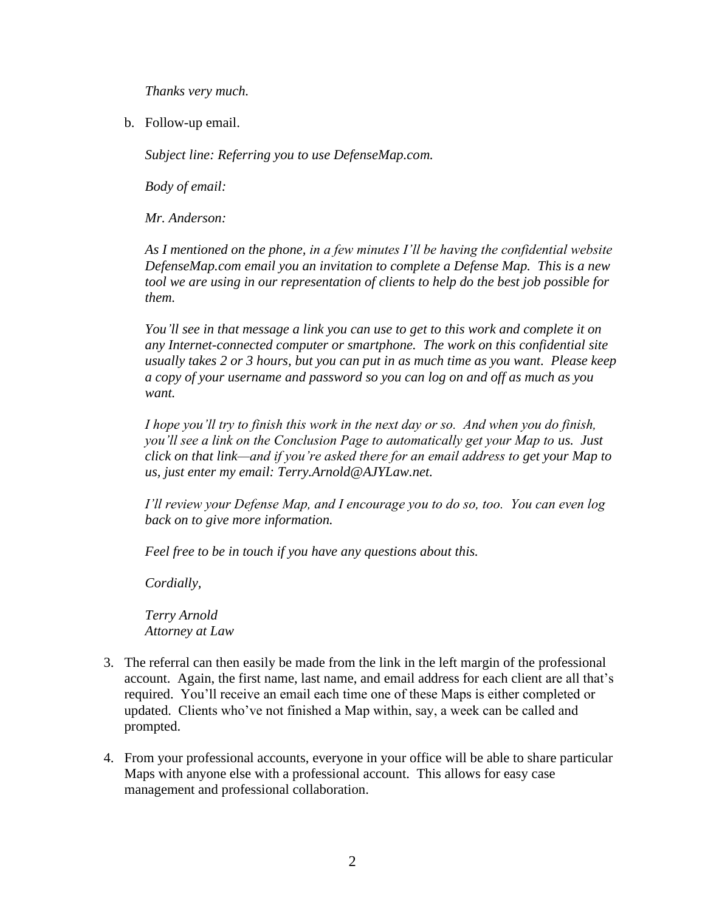*Thanks very much.* 

b. Follow-up email.

*Subject line: Referring you to use DefenseMap.com.* 

*Body of email:* 

*Mr. Anderson:*

*As I mentioned on the phone, in a few minutes I'll be having the confidential website DefenseMap.com email you an invitation to complete a Defense Map. This is a new tool we are using in our representation of clients to help do the best job possible for them.* 

*You'll see in that message a link you can use to get to this work and complete it on any Internet-connected computer or smartphone. The work on this confidential site usually takes 2 or 3 hours, but you can put in as much time as you want. Please keep a copy of your username and password so you can log on and off as much as you want.* 

*I hope you'll try to finish this work in the next day or so. And when you do finish, you'll see a link on the Conclusion Page to automatically get your Map to us. Just click on that link—and if you're asked there for an email address to get your Map to us, just enter my email: Terry.Arnold@AJYLaw.net.* 

*I'll review your Defense Map, and I encourage you to do so, too. You can even log back on to give more information.* 

*Feel free to be in touch if you have any questions about this.*

*Cordially,*

*Terry Arnold Attorney at Law*

- 3. The referral can then easily be made from the link in the left margin of the professional account. Again, the first name, last name, and email address for each client are all that's required. You'll receive an email each time one of these Maps is either completed or updated. Clients who've not finished a Map within, say, a week can be called and prompted.
- 4. From your professional accounts, everyone in your office will be able to share particular Maps with anyone else with a professional account. This allows for easy case management and professional collaboration.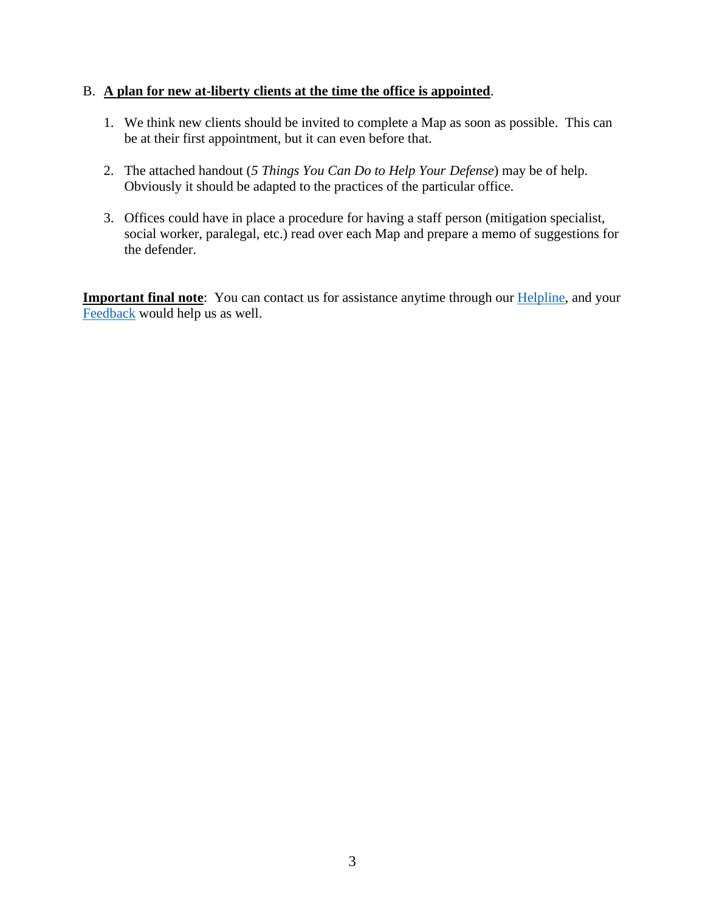## B. **A plan for new at-liberty clients at the time the office is appointed**.

- 1. We think new clients should be invited to complete a Map as soon as possible. This can be at their first appointment, but it can even before that.
- 2. The attached handout (*5 Things You Can Do to Help Your Defense*) may be of help. Obviously it should be adapted to the practices of the particular office.
- 3. Offices could have in place a procedure for having a staff person (mitigation specialist, social worker, paralegal, etc.) read over each Map and prepare a memo of suggestions for the defender.

**Important final note**: You can contact us for assistance anytime through our [Helpline,](https://defensemap.com/#helpline) and your [Feedback](https://defensemap.com/feedback) would help us as well.